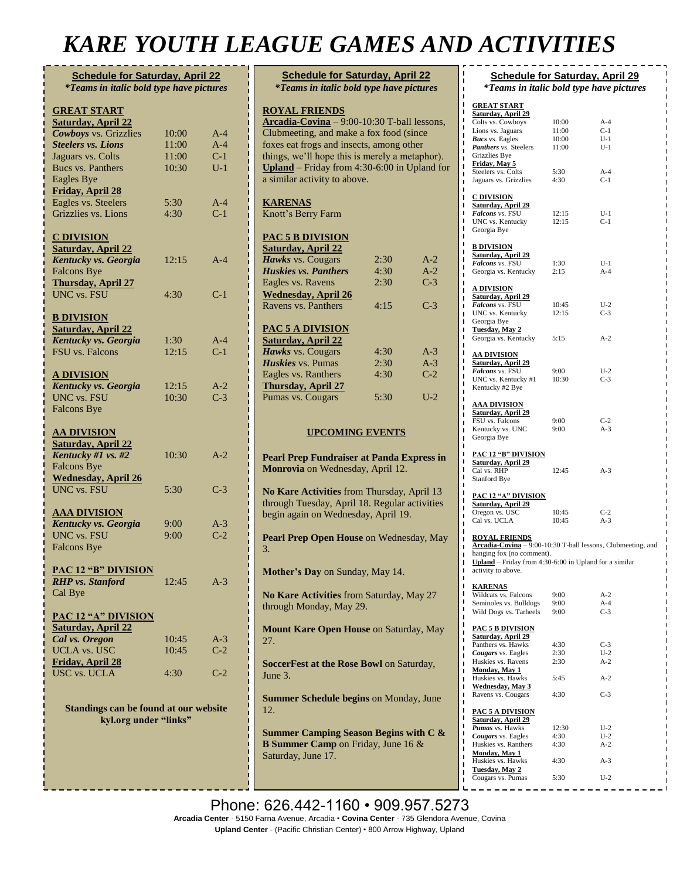## *KARE YOUTH LEAGUE GAMES AND ACTIVITIES*

| <b>Schedule for Saturday, April 22</b><br><i>*Teams in italic bold type have pictures</i> |              |                |  |
|-------------------------------------------------------------------------------------------|--------------|----------------|--|
| <b>GREAT START</b><br><b>Saturday, April 22</b>                                           |              |                |  |
| <b>Cowboys</b> vs. Grizzlies                                                              | 10:00        | $A-4$          |  |
| <b>Steelers vs. Lions</b>                                                                 | 11:00        | $A-4$          |  |
| Jaguars vs. Colts                                                                         | 11:00        | $C-1$          |  |
| <b>Bucs vs. Panthers</b>                                                                  | 10:30        | $U-1$          |  |
| <b>Eagles Bye</b>                                                                         |              |                |  |
| <b>Friday, April 28</b>                                                                   |              |                |  |
| Eagles vs. Steelers<br>Grizzlies vs. Lions                                                | 5:30<br>4:30 | $A-4$<br>$C-1$ |  |
|                                                                                           |              |                |  |
| <b>C DIVISION</b>                                                                         |              |                |  |
| <b>Saturday, April 22</b>                                                                 |              |                |  |
| Kentucky vs. Georgia                                                                      | 12:15        | A-4            |  |
| <b>Falcons Bye</b>                                                                        |              |                |  |
| <b>Thursday, April 27</b>                                                                 |              |                |  |
| <b>UNC</b> vs. FSU                                                                        | 4:30         | $C-1$          |  |
| <b>B DIVISION</b>                                                                         |              |                |  |
| <b>Saturday, April 22</b>                                                                 |              |                |  |
| Kentucky vs. Georgia                                                                      | 1:30         | $A-4$          |  |
| <b>FSU</b> vs. Falcons                                                                    | 12:15        | $C-1$          |  |
|                                                                                           |              |                |  |
| <b>A DIVISION</b>                                                                         |              |                |  |
| Kentucky vs. Georgia                                                                      | 12:15        | $A-2$          |  |
| <b>UNC</b> vs. FSU                                                                        | 10:30        | $C-3$          |  |
| <b>Falcons Bye</b>                                                                        |              |                |  |
| <u>AA DIVISION</u>                                                                        |              |                |  |
| <b>Saturday, April 22</b>                                                                 |              |                |  |
| Kentucky #1 vs. #2                                                                        | 10:30        | $A-2$          |  |
| <b>Falcons Bye</b>                                                                        |              |                |  |
| <b>Wednesday, April 26</b>                                                                |              |                |  |
| <b>UNC vs. FSU</b>                                                                        | 5:30         | $C-3$          |  |
| <b>AAA DIVISION</b>                                                                       |              |                |  |
| Kentucky vs. Georgia                                                                      | 9:00         | $A-3$          |  |
| <b>UNC</b> vs. FSU                                                                        | 9:00         | $C-2$          |  |
| <b>Falcons Bye</b>                                                                        |              |                |  |
|                                                                                           |              |                |  |
| <b>PAC 12 "B" DIVISION</b><br><b>RHP</b> vs. Stanford                                     |              |                |  |
|                                                                                           | 12:45        | $A-3$          |  |
| Cal Bye                                                                                   |              |                |  |
| <b>PAC 12 "A" DIVISION</b>                                                                |              |                |  |
| <b>Saturday, April 22</b>                                                                 |              |                |  |
| Cal vs. Oregon                                                                            | 10:45        | $A-3$          |  |
| <b>UCLA</b> vs. USC                                                                       | 10:45        | $C-2$          |  |
| <b>Friday, April 28</b>                                                                   |              |                |  |
| <b>USC vs. UCLA</b>                                                                       | 4:30         | $C-2$          |  |
|                                                                                           |              |                |  |
| Standings can be found at our website                                                     |              |                |  |
| kyl.org under "links"                                                                     |              |                |  |
|                                                                                           |              |                |  |
|                                                                                           |              |                |  |
|                                                                                           |              |                |  |
|                                                                                           |              |                |  |

| <b>Schedule for Saturday, April 22</b><br><i>*Teams in italic bold type have pictures</i>                                                                                                                                                                                                      |      |       |  |  |
|------------------------------------------------------------------------------------------------------------------------------------------------------------------------------------------------------------------------------------------------------------------------------------------------|------|-------|--|--|
| <b>ROYAL FRIENDS</b><br>Arcadia-Covina - 9:00-10:30 T-ball lessons,<br>Clubmeeting, and make a fox food (since<br>foxes eat frogs and insects, among other<br>things, we'll hope this is merely a metaphor).<br>Upland – Friday from $4:30-6:00$ in Upland for<br>a similar activity to above. |      |       |  |  |
| <b>KARENAS</b><br>Knott's Berry Farm                                                                                                                                                                                                                                                           |      |       |  |  |
| <b>PAC 5 B DIVISION</b>                                                                                                                                                                                                                                                                        |      |       |  |  |
| <b>Saturday, April 22</b>                                                                                                                                                                                                                                                                      |      |       |  |  |
| Hawks vs. Cougars                                                                                                                                                                                                                                                                              | 2:30 | $A-2$ |  |  |
| <b>Huskies vs. Panthers</b>                                                                                                                                                                                                                                                                    | 4:30 | $A-2$ |  |  |
| Eagles vs. Ravens                                                                                                                                                                                                                                                                              | 2:30 | $C-3$ |  |  |
| <b>Wednesday, April 26</b>                                                                                                                                                                                                                                                                     |      |       |  |  |
| Ravens vs. Panthers                                                                                                                                                                                                                                                                            | 4:15 | $C-3$ |  |  |
| <b>PAC 5 A DIVISION</b><br><b>Saturday, April 22</b>                                                                                                                                                                                                                                           |      |       |  |  |
| Hawks vs. Cougars                                                                                                                                                                                                                                                                              | 4:30 | $A-3$ |  |  |
| Huskies vs. Pumas                                                                                                                                                                                                                                                                              | 2:30 | $A-3$ |  |  |
| Eagles vs. Ranthers                                                                                                                                                                                                                                                                            | 4:30 | $C-2$ |  |  |
| <b>Thursday, April 27</b>                                                                                                                                                                                                                                                                      |      |       |  |  |
| Pumas vs. Cougars                                                                                                                                                                                                                                                                              | 5:30 | $U-2$ |  |  |
| <b>UPCOMING EVENTS</b>                                                                                                                                                                                                                                                                         |      |       |  |  |
| <b>Pearl Prep Fundraiser at Panda Express in</b><br>Monrovia on Wednesday, April 12.                                                                                                                                                                                                           |      |       |  |  |
| No Kare Activities from Thursday, April 13<br>through Tuesday, April 18. Regular activities<br>begin again on Wednesday, April 19.                                                                                                                                                             |      |       |  |  |
| Pearl Prep Open House on Wednesday, May<br>3.                                                                                                                                                                                                                                                  |      |       |  |  |
| Mother's Day on Sunday, May 14.                                                                                                                                                                                                                                                                |      |       |  |  |
| No Kare Activities from Saturday, May 27<br>through Monday, May 29.                                                                                                                                                                                                                            |      |       |  |  |
| Mount Kare Open House on Saturday, May<br>27.                                                                                                                                                                                                                                                  |      |       |  |  |
| SoccerFest at the Rose Bowl on Saturday,<br>June 3.                                                                                                                                                                                                                                            |      |       |  |  |
| Summer Schedule begins on Monday, June<br>12.                                                                                                                                                                                                                                                  |      |       |  |  |
| <b>Summer Camping Season Begins with C &amp;</b><br><b>B Summer Camp</b> on Friday, June 16 &<br>Saturday, June 17.                                                                                                                                                                            |      |       |  |  |

#### **Schedule for Saturday, April 29** *\*Teams in italic bold type have pictures* **GREAT START Saturday, April 29** Colts vs. Cowboys 10:00 A-4 Lions vs. Jaguars 11:00 C-1<br> **Rucs** vs. Eagles 10:00 U-1 *Bucs* vs. Eagles 10:00 U-1<br> **Panthers** vs. Steelers 11:00 U-1 **Panthers** vs. Steelers Grizzlies Bye **Friday, May 5** Steelers vs. Colts 5:30 A-4<br>Jaguars vs. Grizzlies 4:30 C-1 Jaguars vs. Grizzlies **C DIVISION Saturday, April 29 Falcons** vs. FSU 12:15 U-1<br>
UNC vs. Kentucky 12:15 C-1 UNC vs. Kentucky Georgia Bye **B DIVISION Saturday, April 29 Falcons** vs. FSU 1:30 U-1 Georgia vs. Kentucky 2:15 A-4 **A DIVISION Saturday, April 29** *Falcons* vs. FSU 10:45 U-2<br>UNC vs. Kentucky 12:15 C-3 UNC vs. Kentucky Georgia Bye **Tuesday, May 2** Georgia vs. Kentucky 5:15 A-2 **AA DIVISION Saturday, April 29** *Falcons* vs. FSU 9:00 U-2 UNC vs. Kentucky #1 10:30 C-3 Kentucky #2 Bye **AAA DIVISION Saturday, April 29** FSU vs. Falcons 9:00 C-2 Kentucky vs. UNC 9:00 A-3 Georgia Bye **PAC 12 "B" DIVISION Saturday, April 29** Cal vs. RHP 12:45 A-3 Stanford Bye **PAC 12 "A" DIVISION Saturday, April 29** Oregon vs. USC 10:45 C-2<br>Cal vs. UCLA 10:45 A-3 Cal vs. UCLA **ROYAL FRIENDS Arcadia-Covina** – 9:00-10:30 T-ball lessons, Clubmeeting, and hanging fox (no comment). **Upland** – Friday from 4:30-6:00 in Upland for a similar activity to above. **KARENAS** Wildcats vs. Falcons 9:00 A-2<br>Seminoles vs. Bulldogs 9:00 A-4 Seminoles vs. Bulldogs 9:00 A-4<br>Wild Dogs vs. Tarheels 9:00 C-3 Wild Dogs vs. Tarheels **PAC 5 B DIVISION Saturday, April 29** Panthers vs. Hawks 4:30 C-3<br> **Cougars** vs. Eagles 2:30 U-2 **Cougars** vs. Eagles 2:30 U-2<br>Huskies vs. Ravens 2:30 A-2 Huskies vs. Ravens **Monday, May 1** Huskies vs. Hawks 5:45 A-2 **Wednesday, May 3** Ravens vs. Cougars 4:30 C-3 **PAC 5 A DIVISION Saturday, April 29** *Pumas* vs. Hawks 12:30 U-2<br> **Cougars** vs. Eagles 4:30 U-2 **Cougars** vs. Eagles 4:30 U-2<br>Huskies vs. Ranthers 4:30 A-2 Huskies vs. Ranthers **Monday, May 1**

Huskies vs. Hawks 4:30 A-3

Cougars vs. Pumas 5:30 U-2

**Tuesday, May 2**